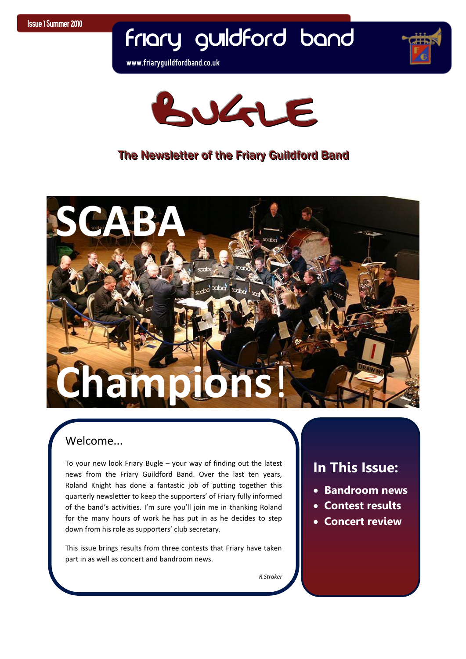## Friary Guildford Band

**www.friaryguildfordband.co.uk**





#### The Newsletter of the Friary Guildford Band



*R.Straker*

#### Welcome...

 To your new look Friary Bugle – your way of finding out the latest news from the Friary Guildford Band. Over the last ten years, Roland Knight has done a fantastic job of putting together this quarterly newsletter to keep the supporters' of Friary fully informed of the band's activities. I'm sure you'll join me in thanking Roland for the many hours of work he has put in as he decides to step down from his role as supporters' club secretary.

This issue brings results from three contests that Friary have taken part in as well as concert and bandroom news.

#### **In This Issue:**

- **Bandroom news**
- **Contest results**
- **Concert review**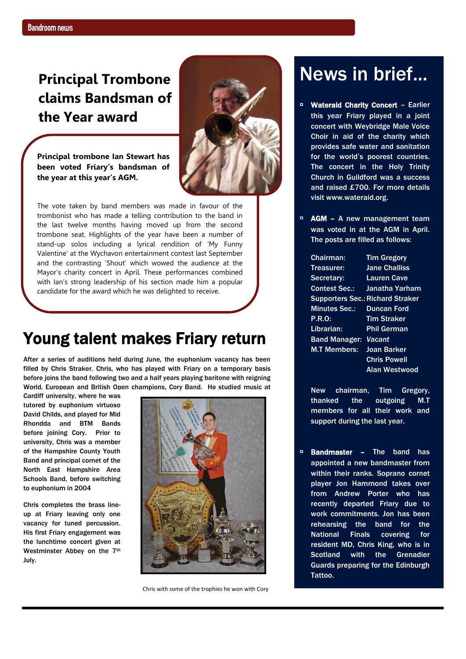### **Principal Trombone claims Bandsman of the Year award**



**Principal trombone Ian Stewart has been voted Friary's bandsman of the year at this year's AGM.** 

 the last twelve months having moved up from the second  stand-up solos including a lyrical rendition of 'My Funny  Mayor's charity concert in April. These performances combined The vote taken by band members was made in favour of the trombonist who has made a telling contribution to the band in trombone seat. Highlights of the year have been a number of Valentine' at the Wychavon entertainment contest last September and the contrasting 'Shout' which wowed the audience at the with Ian's strong leadership of his section made him a popular candidate for the award which he was delighted to receive.

## Young talent makes Friary return

After a series of auditions held during June, the euphonium vacancy has been filled by Chris Straker. Chris, who has played with Friary on a temporary basis before joins the band following two and a half years playing baritone with reigning World, European and British Open champions, Cory Band. He studied music at

Cardiff university, where he was tutored by euphonium virtuoso David Childs, and played for Mid Rhondda and BTM Bands before joining Cory. Prior to university, Chris was a member of the Hampshire County Youth Band and principal cornet of the North East Hampshire Area Schools Band, before switching to euphonium in 2004

Chris completes the brass lineup at Friary leaving only one vacancy for tuned percussion. His first Friary engagement was the lunchtime concert given at Westminster Abbey on the 7<sup>th</sup> July.



Chris with some of the trophies he won with Cory

## News in brief...

- Wateraid Charity Concert Earlier this year Friary played in a joint concert with Weybridge Male Voice Choir in aid of the charity which provides safe water and sanitation for the world"s poorest countries. The concert in the Holy Trinity Church in Guildford was a success and raised £700. For more details visit [www.wateraid.org.](http://www.wateraid.org/)
- □ AGM A new management team was voted in at the AGM in April. The posts are filled as follows:

| Chairman:            | <b>Tim Gregory</b>                      |
|----------------------|-----------------------------------------|
| Treasurer:           | <b>Jane Challiss</b>                    |
| Secretary:           | <b>Lauren Cave</b>                      |
| <b>Contest Sec.:</b> | Janatha Yarham                          |
|                      | <b>Supporters Sec.: Richard Straker</b> |
| <b>Minutes Sec.:</b> | <b>Duncan Ford</b>                      |
| <b>P.R.O:</b>        | <b>Tim Straker</b>                      |
| Librarian:           | <b>Phil German</b>                      |
| <b>Band Manager:</b> | Vacant                                  |
| <b>M.T Members:</b>  | Joan Barker                             |
|                      | <b>Chris Powell</b>                     |
|                      | <b>Alan Westwood</b>                    |

New chairman, Tim Gregory, thanked the outgoing M.T members for all their work and support during the last year.

▫ Bandmaster – The band has appointed a new bandmaster from within their ranks. Soprano cornet player Jon Hammond takes over from Andrew Porter who has recently departed Friary due to work commitments. Jon has been rehearsing the band for the National Finals covering for resident MD, Chris King, who is in Scotland with the Grenadier Guards preparing for the Edinburgh Tattoo.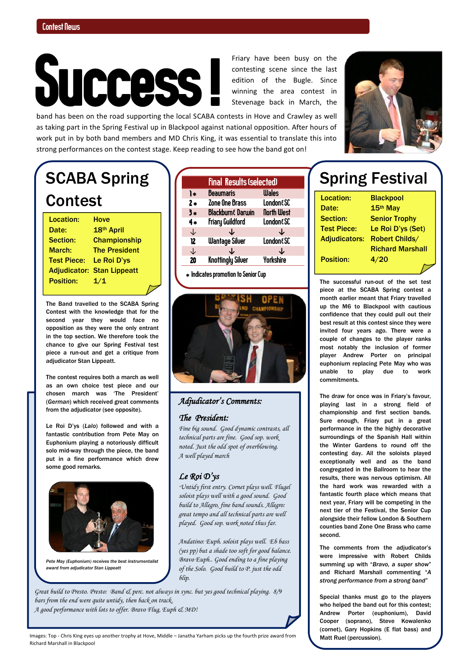# Success !

 edition of the Bugle. Since Friary have been busy on the contesting scene since the last winning the area contest in Stevenage back in March, the

band has been on the road supporting the local SCABA contests in Hove and Crawley as well as taking part in the Spring Festival up in Blackpool against national opposition. After hours of work put in by both band members and MD Chris King, it was essential to translate this into strong performances on the contest stage. Keep reading to see how the band got on!

## SCABA Spring **Contest**

Location: Hove Date: 18th April Section: Championship March: The President Test Piece: Le Roi D"ys Adjudicator: Stan Lippeatt Position: 1/1

The Band travelled to the SCABA Spring Contest with the knowledge that for the second year they would face no opposition as they were the only entrant in the top section. We therefore took the chance to give our Spring Festival test piece a run-out and get a critique from adjudicator Stan Lippeatt.

The contest requires both a march as well as an own choice test piece and our chosen march was "The President" (*German*) which received great comments from the adjudicator (see opposite).

Le Roi D"ys (*Lalo*) followed and with a fantastic contribution from Pete May on Euphonium playing a notoriously difficult solo mid-way through the piece, the band put in a fine performance which drew some good remarks.



*Pete May (Euphonium) receives the best instrumentalist award from adjudicator Stan Lippeatt*

|      | <b>Final Results (selected)</b> |                      |  |
|------|---------------------------------|----------------------|--|
| ۱∗   | Beaumaris                       | <b>Wales</b>         |  |
| $2*$ | Zone One Brass                  | <b>London&amp;SC</b> |  |
| 3*   | <b>Blackburn&amp; Darwin</b>    | <b>North West</b>    |  |
| 4*   | <b>Friary Guildford</b>         | <b>London&amp;SC</b> |  |
| ↓    |                                 | ↓                    |  |
| 12   | <b>Wantage Silver</b>           | <b>London&amp;SC</b> |  |
| ↓    |                                 |                      |  |
| 20   | Knottingly Silver               | Yorkshire            |  |

 $*$  Indicates promotion to Senior Cup



#### *Adjudicator's Comments:*

#### *The President:*

*Fine big sound. Good dynamic contrasts, all technical parts are fine. Good sop. work noted. Just the odd spot of overblowing. A well played march*

#### *Le Roi D'ys*

*"Untidy first entry. Cornet plays well. Flugel soloist plays well with a good sound. Good build to Allegro, fine band sounds. Allegro: great tempo and all technical parts are well played. Good sop. work noted thus far.* 

*Andatino: Euph. soloist plays well. Eb bass (yes pp) but a shade too soft for good balance. Bravo Euph.. Good ending to a fine playing of the Solo. Good build to P. just the odd blip.* 

*Great build to Presto. Presto: Band & perc. not always in sync. but yes good technical playing. 8/9 bars from the end were quite untidy, then back on track. A good performance with lots to offer. Bravo Flug, Euph & MD!*

## Spring Festival

Location: Blackpool Date: 15th May Section: Senior Trophy Position: 4/20

Test Piece: Le Roi D"ys (Set) Adjudicators: Robert Childs/ Richard Marshall

The successful run-out of the set test piece at the SCABA Spring contest a month earlier meant that Friary travelled up the M6 to Blackpool with cautious confidence that they could pull out their best result at this contest since they were invited four years ago. There were a couple of changes to the player ranks most notably the inclusion of former player Andrew Porter on principal euphonium replacing Pete May who was unable to play due to work commitments.

The draw for once was in Friary"s favour, playing last in a strong field of championship and first section bands. Sure enough, Friary put in a great performance in the the highly decorative surroundings of the Spanish Hall within the Winter Gardens to round off the contesting day. All the soloists played exceptionally well and as the band congregated in the Ballroom to hear the results, there was nervous optimism. All the hard work was rewarded with a fantastic fourth place which means that next year, Friary will be competing in the next tier of the Festival, the Senior Cup alongside their fellow London & Southern counties band Zone One Brass who came second.

The comments from the adjudicator's were impressive with Robert Childs summing up with "*Bravo, a super show*" and Richard Marshall commenting "*A strong performance from a strong band*"

Special thanks must go to the players who helped the band out for this contest; Andrew Porter (euphonium), David Cooper (soprano), Steve Kowalenko (cornet), Gary Hopkins (E flat bass) and Matt Ruel (percussion).

Images: Top - Chris King eyes up another trophy at Hove, Middle – Janatha Yarham picks up the fourth prize award from Richard Marshall in Blackpool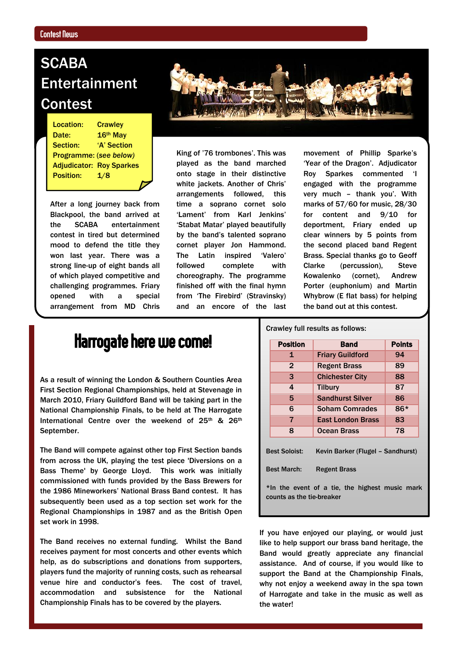I

## **SCABA** Entertainment Contest

**Programme: (see below)** Location: Crawley Date: 16<sup>th</sup> May Section: 'A' Section Adjudicator: Roy Sparkes Position: 1/8

After a long journey back from Blackpool, the band arrived at the SCABA entertainment contest in tired but determined mood to defend the title they won last year. There was a strong line-up of eight bands all of which played competitive and challenging programmes. Friary opened with a special arrangement from MD Chris



King of '76 trombones'. This was played as the band marched onto stage in their distinctive white jackets. Another of Chris' arrangements followed, this time a soprano cornet solo 'Lament' from Karl Jenkins' "Stabat Matar" played beautifully by the band"s talented soprano cornet player Jon Hammond. The Latin inspired 'Valero' followed complete with choreography. The programme finished off with the final hymn from "The Firebird" (Stravinsky) and an encore of the last

movement of Phillip Sparke"s 'Year of the Dragon'. Adjudicator Roy Sparkes commented "I engaged with the programme very much - thank you'. With marks of 57/60 for music, 28/30 for content and 9/10 for deportment, Friary ended up clear winners by 5 points from the second placed band Regent Brass. Special thanks go to Geoff Clarke (percussion), Steve Kowalenko (cornet), Andrew Porter (euphonium) and Martin Whybrow (E flat bass) for helping the band out at this contest.

## Harrogate here we come!

As a result of winning the London & Southern Counties Area First Section Regional Championships, held at Stevenage in March 2010, Friary Guildford Band will be taking part in the National Championship Finals, to be held at The Harrogate International Centre over the weekend of 25<sup>th</sup> & 26<sup>th</sup> September.

The Band will compete against other top First Section bands from across the UK, playing the test piece 'Diversions on a Bass Theme' by George Lloyd. This work was initially commissioned with funds provided by the Bass Brewers for the 1986 Mineworkers" National Brass Band contest. It has subsequently been used as a top section set work for the Regional Championships in 1987 and as the British Open set work in 1998.

The Band receives no external funding. Whilst the Band receives payment for most concerts and other events which help, as do subscriptions and donations from supporters, players fund the majority of running costs, such as rehearsal venue hire and conductor"s fees. The cost of travel, accommodation and subsistence for the National Championship Finals has to be covered by the players.

Crawley full results as follows:

|                                                                             | <b>Position</b> | Band                    | <b>Points</b> |  |  |
|-----------------------------------------------------------------------------|-----------------|-------------------------|---------------|--|--|
|                                                                             | 1               | <b>Friary Guildford</b> | 94            |  |  |
|                                                                             | $\overline{2}$  | <b>Regent Brass</b>     | 89            |  |  |
|                                                                             | 3               | <b>Chichester City</b>  | 88            |  |  |
|                                                                             | 4               | Tilbury                 | 87            |  |  |
|                                                                             | 5               | <b>Sandhurst Silver</b> | 86            |  |  |
|                                                                             | 6               | <b>Soham Comrades</b>   | 86*           |  |  |
|                                                                             | 7               | East London Brass       | 83            |  |  |
|                                                                             | 8               | Ocean Brass             | 78            |  |  |
| Kevin Barker (Flugel - Sandhurst)<br><b>Best Soloist:</b>                   |                 |                         |               |  |  |
| <b>Best March:</b><br><b>Regent Brass</b>                                   |                 |                         |               |  |  |
| *In the event of a tie, the highest music mark<br>counts as the tie-breaker |                 |                         |               |  |  |

If you have enjoyed our playing, or would just like to help support our brass band heritage, the Band would greatly appreciate any financial assistance. And of course, if you would like to support the Band at the Championship Finals, why not enjoy a weekend away in the spa town of Harrogate and take in the music as well as the water!